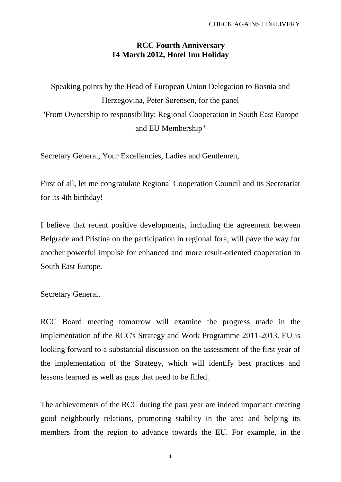## **RCC Fourth Anniversary 14 March 2012, Hotel Inn Holiday**

Speaking points by the Head of European Union Delegation to Bosnia and Herzegovina, Peter Sørensen, for the panel "From Ownership to responsibility: Regional Cooperation in South East Europe and EU Membership"

Secretary General, Your Excellencies, Ladies and Gentlemen,

First of all, let me congratulate Regional Cooperation Council and its Secretariat for its 4th birthday!

I believe that recent positive developments, including the agreement between Belgrade and Pristina on the participation in regional fora, will pave the way for another powerful impulse for enhanced and more result-oriented cooperation in South East Europe.

Secretary General,

RCC Board meeting tomorrow will examine the progress made in the implementation of the RCC's Strategy and Work Programme 2011-2013. EU is looking forward to a substantial discussion on the assessment of the first year of the implementation of the Strategy, which will identify best practices and lessons learned as well as gaps that need to be filled.

The achievements of the RCC during the past year are indeed important creating good neighbourly relations, promoting stability in the area and helping its members from the region to advance towards the EU. For example, in the

**1**